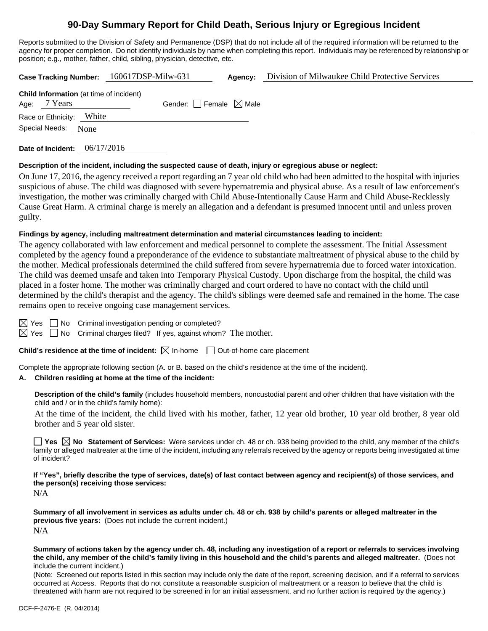# **90-Day Summary Report for Child Death, Serious Injury or Egregious Incident**

Reports submitted to the Division of Safety and Permanence (DSP) that do not include all of the required information will be returned to the agency for proper completion. Do not identify individuals by name when completing this report. Individuals may be referenced by relationship or position; e.g., mother, father, child, sibling, physician, detective, etc.

| Case Tracking Number: 160617DSP-Milw-631                       |                                 | Agency: | Division of Milwaukee Child Protective Services |
|----------------------------------------------------------------|---------------------------------|---------|-------------------------------------------------|
| <b>Child Information</b> (at time of incident)<br>Age: 7 Years | Gender: Female $\boxtimes$ Male |         |                                                 |
| Race or Ethnicity: White                                       |                                 |         |                                                 |
| Special Needs:<br>None                                         |                                 |         |                                                 |
|                                                                |                                 |         |                                                 |

**Date of Incident:** 06/17/2016

#### **Description of the incident, including the suspected cause of death, injury or egregious abuse or neglect:**

On June 17, 2016, the agency received a report regarding an 7 year old child who had been admitted to the hospital with injuries suspicious of abuse. The child was diagnosed with severe hypernatremia and physical abuse. As a result of law enforcement's investigation, the mother was criminally charged with Child Abuse-Intentionally Cause Harm and Child Abuse-Recklessly Cause Great Harm. A criminal charge is merely an allegation and a defendant is presumed innocent until and unless proven guilty.

### **Findings by agency, including maltreatment determination and material circumstances leading to incident:**

The agency collaborated with law enforcement and medical personnel to complete the assessment. The Initial Assessment completed by the agency found a preponderance of the evidence to substantiate maltreatment of physical abuse to the child by the mother. Medical professionals determined the child suffered from severe hypernatremia due to forced water intoxication. The child was deemed unsafe and taken into Temporary Physical Custody. Upon discharge from the hospital, the child was placed in a foster home. The mother was criminally charged and court ordered to have no contact with the child until determined by the child's therapist and the agency. The child's siblings were deemed safe and remained in the home. The case remains open to receive ongoing case management services.

 $\boxtimes$  Yes  $\Box$  No Criminal investigation pending or completed?

 $\boxtimes$  Yes  $\Box$  No Criminal charges filed? If yes, against whom? The mother.

**Child's residence at the time of incident:**  $\boxtimes$  In-home  $\Box$  Out-of-home care placement

Complete the appropriate following section (A. or B. based on the child's residence at the time of the incident).

### **A. Children residing at home at the time of the incident:**

**Description of the child's family** (includes household members, noncustodial parent and other children that have visitation with the child and / or in the child's family home):

 At the time of the incident, the child lived with his mother, father, 12 year old brother, 10 year old brother, 8 year old brother and 5 year old sister.

■ Yes **No** Statement of Services: Were services under ch. 48 or ch. 938 being provided to the child, any member of the child's family or alleged maltreater at the time of the incident, including any referrals received by the agency or reports being investigated at time of incident?

**If "Yes", briefly describe the type of services, date(s) of last contact between agency and recipient(s) of those services, and the person(s) receiving those services:** 

N/A

**Summary of all involvement in services as adults under ch. 48 or ch. 938 by child's parents or alleged maltreater in the previous five years:** (Does not include the current incident.) N/A

**Summary of actions taken by the agency under ch. 48, including any investigation of a report or referrals to services involving the child, any member of the child's family living in this household and the child's parents and alleged maltreater.** (Does not include the current incident.)

(Note: Screened out reports listed in this section may include only the date of the report, screening decision, and if a referral to services occurred at Access. Reports that do not constitute a reasonable suspicion of maltreatment or a reason to believe that the child is threatened with harm are not required to be screened in for an initial assessment, and no further action is required by the agency.)